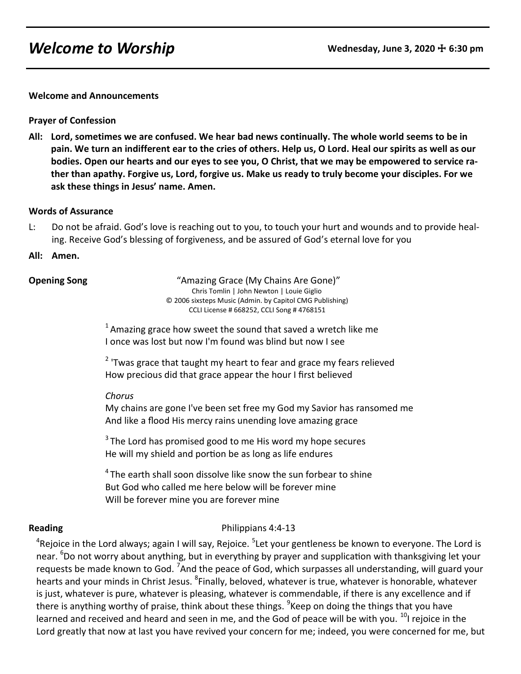# **Welcome to Worship Wednesday, June 3, 2020**  $\pm$  **6:30 pm**

**Welcome and Announcements**

### **Prayer of Confession**

**All: Lord, sometimes we are confused. We hear bad news continually. The whole world seems to be in pain. We turn an indifferent ear to the cries of others. Help us, O Lord. Heal our spirits as well as our bodies. Open our hearts and our eyes to see you, O Christ, that we may be empowered to service rather than apathy. Forgive us, Lord, forgive us. Make us ready to truly become your disciples. For we ask these things in Jesus' name. Amen.**

### **Words of Assurance**

- L: Do not be afraid. God's love is reaching out to you, to touch your hurt and wounds and to provide healing. Receive God's blessing of forgiveness, and be assured of God's eternal love for you
- **All: Amen.**

**Opening Song** "Amazing Grace (My Chains Are Gone)" Chris Tomlin | John Newton | Louie Giglio © 2006 sixsteps Music (Admin. by Capitol CMG Publishing) CCLI License # 668252, CCLI Song # 4768151

> $1$  Amazing grace how sweet the sound that saved a wretch like me I once was lost but now I'm found was blind but now I see

 $2$  'Twas grace that taught my heart to fear and grace my fears relieved How precious did that grace appear the hour I first believed

#### *Chorus*

My chains are gone I've been set free my God my Savior has ransomed me And like a flood His mercy rains unending love amazing grace

 $3$  The Lord has promised good to me His word my hope secures He will my shield and portion be as long as life endures

 $4$ The earth shall soon dissolve like snow the sun forbear to shine But God who called me here below will be forever mine Will be forever mine you are forever mine

## **Reading**  Philippians 4:4-13

<sup>4</sup>Rejoice in the Lord always; again I will say, Rejoice. <sup>5</sup>Let your gentleness be known to everyone. The Lord is near. <sup>6</sup>Do not worry about anything, but in everything by prayer and supplication with thanksgiving let your requests be made known to God. <sup>7</sup>And the peace of God, which surpasses all understanding, will guard your hearts and your minds in Christ Jesus. <sup>8</sup>Finally, beloved, whatever is true, whatever is honorable, whatever is just, whatever is pure, whatever is pleasing, whatever is commendable, if there is any excellence and if there is anything worthy of praise, think about these things. <sup>9</sup>Keep on doing the things that you have learned and received and heard and seen in me, and the God of peace will be with you. <sup>10</sup>I rejoice in the Lord greatly that now at last you have revived your concern for me; indeed, you were concerned for me, but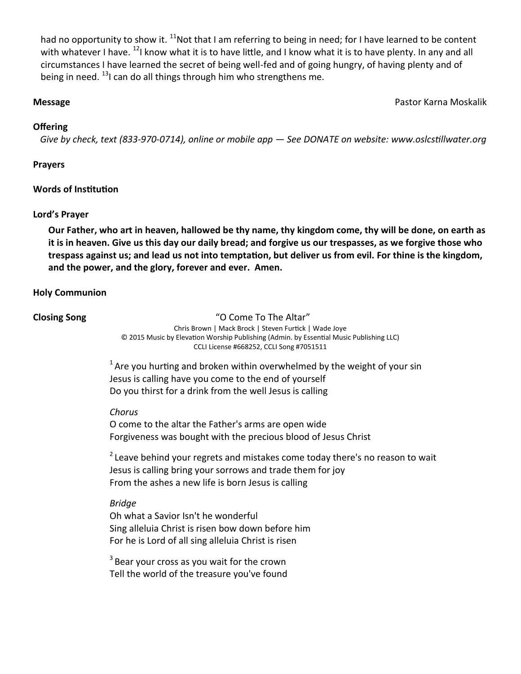had no opportunity to show it. <sup>11</sup>Not that I am referring to being in need; for I have learned to be content with whatever I have. <sup>12</sup>I know what it is to have little, and I know what it is to have plenty. In any and all circumstances I have learned the secret of being well-fed and of going hungry, of having plenty and of being in need.  $^{13}$ I can do all things through him who strengthens me.

**Message** Pastor Karna Moskalik

### **Offering**

 *Give by check, text (833-970-0714), online or mobile app — See DONATE on website: www.oslcstillwater.org*

### **Prayers**

### **Words of Institution**

### **Lord's Prayer**

**Our Father, who art in heaven, hallowed be thy name, thy kingdom come, thy will be done, on earth as it is in heaven. Give us this day our daily bread; and forgive us our trespasses, as we forgive those who trespass against us; and lead us not into temptation, but deliver us from evil. For thine is the kingdom, and the power, and the glory, forever and ever. Amen.** 

### **Holy Communion**

### **Closing Song** "O Come To The Altar"

Chris Brown | Mack Brock | Steven Furtick | Wade Joye © 2015 Music by Elevation Worship Publishing (Admin. by Essential Music Publishing LLC) CCLI License #668252, CCLI Song #7051511

 $1$ Are vou hurting and broken within overwhelmed by the weight of your sin Jesus is calling have you come to the end of yourself Do you thirst for a drink from the well Jesus is calling

#### *Chorus*

O come to the altar the Father's arms are open wide Forgiveness was bought with the precious blood of Jesus Christ

 $2$  Leave behind your regrets and mistakes come today there's no reason to wait Jesus is calling bring your sorrows and trade them for joy From the ashes a new life is born Jesus is calling

### *Bridge*

Oh what a Savior Isn't he wonderful Sing alleluia Christ is risen bow down before him For he is Lord of all sing alleluia Christ is risen

 $3$  Bear your cross as you wait for the crown Tell the world of the treasure you've found